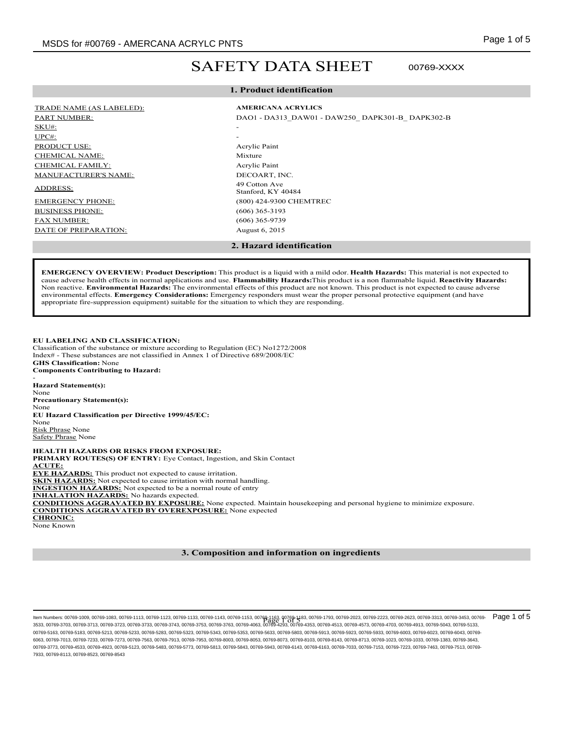00769-XXXX

# SAFETY DATA SHEET

# **1. Product identification**

# TRADE NAME (AS LABELED): **AMERICANA ACRYLICS**

 $SKU#$ :  $\text{UPC}\#$ : PRODUCT USE: Acrylic Paint CHEMICAL NAME: Mixture CHEMICAL FAMILY: Acrylic Paint MANUFACTURER'S NAME: DECOART, INC.

BUSINESS PHONE: (606) 365-3193 FAX NUMBER: (606) 365-9739 DATE OF PREPARATION: August 6, 2015

# PART NUMBER: DAO1 - DA313\_DAW01 - DAW250\_ DAPK301-B\_ DAPK302-B\_ DAPK302-B\_ DAPK302-B\_ DAPK302-B\_ DAPK302-B\_ DAPK302-B\_ DAPK302-B\_ DAPK302-B\_ DAPK302-B\_ DAPK302-B\_ DAPK302-B\_ DAPK302-B\_ DAPK302-B\_ DAPK302-B\_ DAPK302-B\_ DAPK ADDRESS: 49 Cotton Ave Stanford, KY 40484 EMERGENCY PHONE: (800) 424-9300 CHEMTREC

### **2. Hazard identification**

**EMERGENCY OVERVIEW: Product Description:** This product is a liquid with a mild odor. **Health Hazards:** This material is not expected to cause adverse health effects in normal applications and use. **Flammability Hazards:**This product is a non flammable liquid. **Reactivity Hazards:** Non reactive. **Environmental Hazards:** The environmental effects of this product are not known. This product is not expected to cause adverse environmental effects. **Emergency Considerations:** Emergency responders must wear the proper personal protective equipment (and have appropriate fire-suppression equipment) suitable for the situation to which they are responding.

### **EU LABELING AND CLASSIFICATION:**

Classification of the substance or mixture according to Regulation (EC) No1272/2008 Index# - These substances are not classified in Annex 1 of Directive 689/2008/EC **GHS Classification:** None **Components Contributing to Hazard:**

- **Hazard Statement(s):** None **Precautionary Statement(s):** None **EU Hazard Classification per Directive 1999/45/EC:** None Risk Phrase None Safety Phrase None

**HEALTH HAZARDS OR RISKS FROM EXPOSURE: PRIMARY ROUTES(S) OF ENTRY:** Eye Contact, Ingestion, and Skin Contact **ACUTE: EYE HAZARDS:** This product not expected to cause irritation. **SKIN HAZARDS:** Not expected to cause irritation with normal handling. **INGESTION HAZARDS:** Not expected to be a normal route of entry **INHALATION HAZARDS:** No hazards expected. **CONDITIONS AGGRAVATED BY EXPOSURE:** None expected. Maintain housekeeping and personal hygiene to minimize exposure. **CONDITIONS AGGRAVATED BY OVEREXPOSURE:** None expected **CHRONIC:** None Known

# **3. Composition and information on ingredients**

Item Numbers: 00769-1009, 00769-1103, 00769-1123, 00769-1133, 00769-1143, 00769-1143, 00769-1153, 00769-2023, 00769-2023, 00769-2223, 00769-2223, 00769-2223, 00769-2223, 00769-2723, 00769-2223, 00769-3453, 00769-2023, 007 ltem Numbers: 00769-1003, 00769-113, 00769-1133, 00769-1133, 00769-1143, 00769-1153, 00769-4163, 00769-1763, 00769-1793, 00769-2023, 00769-2223, 00769-2623, 00769-3313, 00769-3453, 00769-<br>3533, 00769-3703, 00769-3712, 0076 00769-5163, 00769-5183, 00769-5213, 00769-5233, 00769-5283, 00769-5323, 00769-5343, 00769-5353, 00769-5633, 00769-5803, 00769-5913, 00769-5923, 00769-5933, 00769-6003, 00769-6023, 00769-6043, 00769- 6063, 00769-7013, 00769-7233, 00769-7273, 00769-7563, 00769-7913, 00769-7953, 00769-8003, 00769-8053, 00769-8073, 00769-8103, 00769-8143, 00769-8713, 00769-1023, 00769-1033, 00769-1383, 00769-3643, 00769-3773, 00769-4533, 00769-4923, 00769-5123, 00769-5483, 00769-5773, 00769-5813, 00769-5843, 00769-5943, 00769-6143, 00769-6163, 00769-7033, 00769-7153, 00769-7223, 00769-7463, 00769-7513, 00769- 7933, 00769-8113, 00769-8523, 00769-8543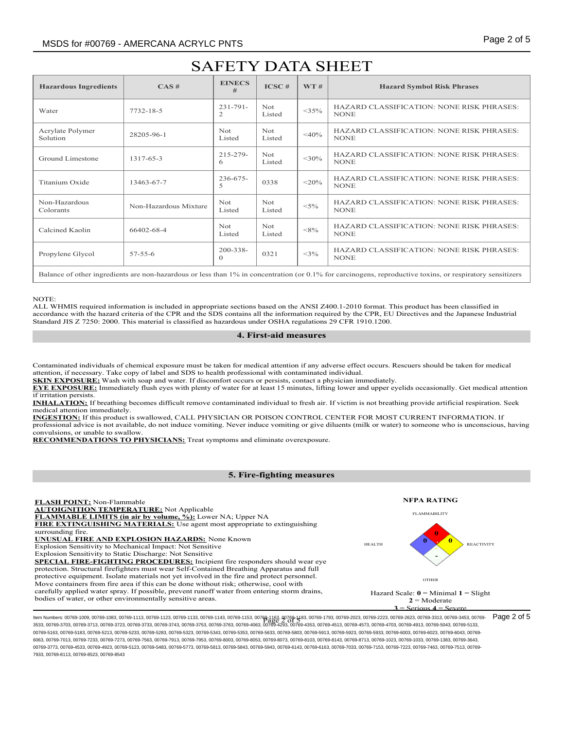| <b>Hazardous Ingredients</b> | CAS#                  | <b>EINECS</b><br>#        | ICSC#          | WT#         | <b>Hazard Symbol Risk Phrases</b>                               |  |
|------------------------------|-----------------------|---------------------------|----------------|-------------|-----------------------------------------------------------------|--|
| Water                        | 7732-18-5             | $231 - 791 -$<br>2        | Not<br>Listed  | $<$ 35%     | <b>HAZARD CLASSIFICATION: NONE RISK PHRASES:</b><br><b>NONE</b> |  |
| Acrylate Polymer<br>Solution | 28205-96-1            | Not.<br>Listed            | Not.<br>Listed | $<\!\!40\%$ | <b>HAZARD CLASSIFICATION: NONE RISK PHRASES:</b><br><b>NONE</b> |  |
| Ground Limestone             | 1317-65-3             | $215 - 279$ -<br>6        | Not.<br>Listed | $<$ 30%     | <b>HAZARD CLASSIFICATION: NONE RISK PHRASES:</b><br><b>NONE</b> |  |
| Titanium Oxide               | 13463-67-7            | $236 - 675 -$<br>5        | 0338           | $<$ 20%     | <b>HAZARD CLASSIFICATION: NONE RISK PHRASES:</b><br><b>NONE</b> |  |
| Non-Hazardous<br>Colorants   | Non-Hazardous Mixture | <b>Not</b><br>Listed      | Not.<br>Listed | $< 5\%$     | <b>HAZARD CLASSIFICATION: NONE RISK PHRASES:</b><br><b>NONE</b> |  |
| Calcined Kaolin              | 66402-68-4            | Not.<br>Listed            | Not.<br>Listed | $<\!\!8\%$  | <b>HAZARD CLASSIFICATION: NONE RISK PHRASES:</b><br><b>NONE</b> |  |
| Propylene Glycol             | $57 - 55 - 6$         | $200 - 338 -$<br>$\Omega$ | 0321           | $<$ 3%      | <b>HAZARD CLASSIFICATION: NONE RISK PHRASES:</b><br><b>NONE</b> |  |
|                              |                       |                           |                |             |                                                                 |  |

Balance of other ingredients are non-hazardous or less than 1% in concentration (or 0.1% for carcinogens, reproductive toxins, or respiratory sensitizers

#### NOTE:

ALL WHMIS required information is included in appropriate sections based on the ANSI Z400.1-2010 format. This product has been classified in accordance with the hazard criteria of the CPR and the SDS contains all the information required by the CPR, EU Directives and the Japanese Industrial Standard JIS Z 7250: 2000. This material is classified as hazardous under OSHA regulations 29 CFR 1910.1200.

# **4. First-aid measures**

Contaminated individuals of chemical exposure must be taken for medical attention if any adverse effect occurs. Rescuers should be taken for medical attention, if necessary. Take copy of label and SDS to health professional with contaminated individual.

**SKIN EXPOSURE:** Wash with soap and water. If discomfort occurs or persists, contact a physician immediately.

**EYE EXPOSURE:** Immediately flush eyes with plenty of water for at least 15 minutes, lifting lower and upper eyelids occasionally. Get medical attention if irritation persists.

**INHALATION:** If breathing becomes difficult remove contaminated individual to fresh air. If victim is not breathing provide artificial respiration. Seek medical attention immediately.

**INGESTION:** If this product is swallowed, CALL PHYSICIAN OR POISON CONTROL CENTER FOR MOST CURRENT INFORMATION. If professional advice is not available, do not induce vomiting. Never induce vomiting or give diluents (milk or water) to someone who is unconscious, having convulsions, or unable to swallow.

**RECOMMENDATIONS TO PHYSICIANS:** Treat symptoms and eliminate overexposure.

# **5. Fire-fighting measures**



Item Numbers: 00769-1009, 00769-1103, 00769-1123, 00769-1133, 00769-1143, 00769-1143, 00769-1153, 00769-2023, 00769-2223, 00769-2223, 00769-2223, 00769-2223, 00769-2223, 00769-2723, 00769-223, 00769-3453, 00769-3453, 0076 ltem Numbers: 00769-1003, 00769-113, 00769-1133, 00769-1133, 00769-1143, 00769-1153, 00769-4163, 00769-1763, 00769-1793, 00769-2023, 00769-2223, 00769-2623, 00769-3313, 00769-3453, 00769-<br>3533, 00769-3703, 00769-3712, 0076 00769-5163, 00769-5183, 00769-5213, 00769-5233, 00769-5283, 00769-5323, 00769-5343, 00769-5353, 00769-5633, 00769-5803, 00769-5913, 00769-5923, 00769-5933, 00769-6003, 00769-6023, 00769-6043, 00769- 6063, 00769-7013, 00769-7233, 00769-7273, 00769-7563, 00769-7913, 00769-7953, 00769-8003, 00769-8053, 00769-8073, 00769-8103, 00769-8143, 00769-8713, 00769-1023, 00769-1033, 00769-1383, 00769-3643, 00769-3773, 00769-4533, 00769-4923, 00769-5123, 00769-5483, 00769-5773, 00769-5813, 00769-5843, 00769-5943, 00769-6143, 00769-6163, 00769-7033, 00769-7153, 00769-7153, 00769-7223, 00769-7463, 00769-7513, 00769-7463, 00769-7 7933, 00769-8113, 00769-8523, 00769-8543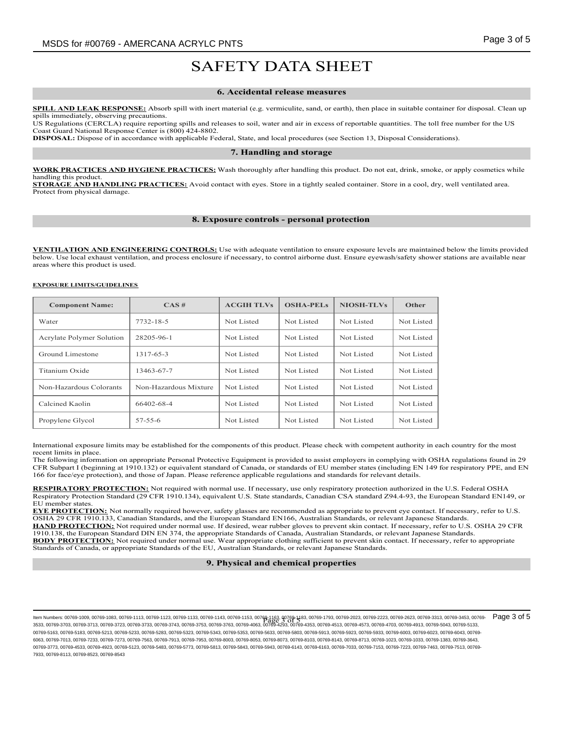#### **6. Accidental release measures**

**SPILL AND LEAK RESPONSE:** Absorb spill with inert material (e.g. vermiculite, sand, or earth), then place in suitable container for disposal. Clean up spills immediately, observing precautions.

US Regulations (CERCLA) require reporting spills and releases to soil, water and air in excess of reportable quantities. The toll free number for the US Coast Guard National Response Center is (800) 424-8802.

**DISPOSAL:** Dispose of in accordance with applicable Federal, State, and local procedures (see Section 13, Disposal Considerations).

#### **7. Handling and storage**

**WORK PRACTICES AND HYGIENE PRACTICES:** Wash thoroughly after handling this product. Do not eat, drink, smoke, or apply cosmetics while handling this product.

**STORAGE AND HANDLING PRACTICES:** Avoid contact with eyes. Store in a tightly sealed container. Store in a cool, dry, well ventilated area. Protect from physical damage.

#### **8. Exposure controls - personal protection**

**VENTILATION AND ENGINEERING CONTROLS:** Use with adequate ventilation to ensure exposure levels are maintained below the limits provided below. Use local exhaust ventilation, and process enclosure if necessary, to control airborne dust. Ensure eyewash/safety shower stations are available near areas where this product is used.

#### **EXPOSURE LIMITS/GUIDELINES**

| <b>Component Name:</b>    | CAS#                  | <b>ACGIH TLVs</b>        | <b>OSHA-PELs</b> | <b>NIOSH-TLVs</b> | Other      |
|---------------------------|-----------------------|--------------------------|------------------|-------------------|------------|
| Water                     | 7732-18-5             | Not Listed               | Not Listed       | Not Listed        | Not Listed |
| Acrylate Polymer Solution | 28205-96-1            | Not Listed<br>Not Listed |                  | Not Listed        | Not Listed |
| Ground Limestone          | 1317-65-3             | Not Listed               | Not Listed       | Not Listed        | Not Listed |
| Titanium Oxide            | 13463-67-7            | Not Listed               | Not Listed       | Not Listed        | Not Listed |
| Non-Hazardous Colorants   | Non-Hazardous Mixture | Not Listed               | Not Listed       | Not Listed        | Not Listed |
| Calcined Kaolin           | 66402-68-4            | Not Listed               | Not Listed       | Not Listed        | Not Listed |
| Propylene Glycol          | $57 - 55 - 6$         | Not Listed               | Not Listed       | Not Listed        | Not Listed |

International exposure limits may be established for the components of this product. Please check with competent authority in each country for the most recent limits in place.

The following information on appropriate Personal Protective Equipment is provided to assist employers in complying with OSHA regulations found in 29 CFR Subpart I (beginning at 1910.132) or equivalent standard of Canada, or standards of EU member states (including EN 149 for respiratory PPE, and EN 166 for face/eye protection), and those of Japan. Please reference applicable regulations and standards for relevant details.

**RESPIRATORY PROTECTION:** Not required with normal use. If necessary, use only respiratory protection authorized in the U.S. Federal OSHA Respiratory Protection Standard (29 CFR 1910.134), equivalent U.S. State standards, Canadian CSA standard Z94.4-93, the European Standard EN149, or EU member states.

**EYE PROTECTION:** Not normally required however, safety glasses are recommended as appropriate to prevent eye contact. If necessary, refer to U.S. OSHA 29 CFR 1910.133, Canadian Standards, and the European Standard EN166, Australian Standards, or relevant Japanese Standards. HAND PROTECTION: Not required under normal use. If desired, wear rubber gloves to prevent skin contact. If necessary, refer to U.S. OSHA 29 CFR 1910.138, the European Standard DIN EN 374, the appropriate Standards of Canada, Australian Standards, or relevant Japanese Standards. **BODY PROTECTION:** Not required under normal use. Wear appropriate clothing sufficient to prevent skin contact. If necessary, refer to appropriate Standards of Canada, or appropriate Standards of the EU, Australian Standards, or relevant Japanese Standards.

#### **9. Physical and chemical properties**

Item Numbers: 00769-1009, 00769-1103, 00769-1123, 00769-1133, 00769-1143, 00769-1143, 00769-1153, 00769-2023, 00769-2023, 00769-2223, 00769-2223, 00769-2223, 00769-2223, 00769-2623, 00769-2023, 00769-2223, 00769-2023, 007 3533, 00769-3703, 00769-3713, 00769-3723, 00769-3733, 00769-3743, 00769-3753, 00769-3763, 00769-4063, 00769-4293, 00769-4353, 00769-4513, 00769-4573, 00769-4703, 00769-4913, 00769-5043, 00769-5133, 00769-5163, 00769-5183, 00769-5213, 00769-5233, 00769-5283, 00769-5323, 00769-5343, 00769-5353, 00769-5633, 00769-5803, 00769-5913, 00769-5923, 00769-5933, 00769-6003, 00769-6023, 00769-6043, 00769- 6063, 00769-7013, 00769-7233, 00769-7273, 00769-7563, 00769-7913, 00769-7953, 00769-8003, 00769-8053, 00769-8073, 00769-8103, 00769-8143, 00769-8713, 00769-1023, 00769-1033, 00769-1383, 00769-3643, 00769-3773, 00769-4533, 00769-4923, 00769-5123, 00769-5483, 00769-5773, 00769-5813, 00769-5843, 00769-5943, 00769-6143, 00769-6163, 00769-7033, 00769-7153, 00769-7153, 00769-7223, 00769-7463, 00769-7513, 00769-7463, 00769-7 7933, 00769-8113, 00769-8523, 00769-8543 Page 3 of 5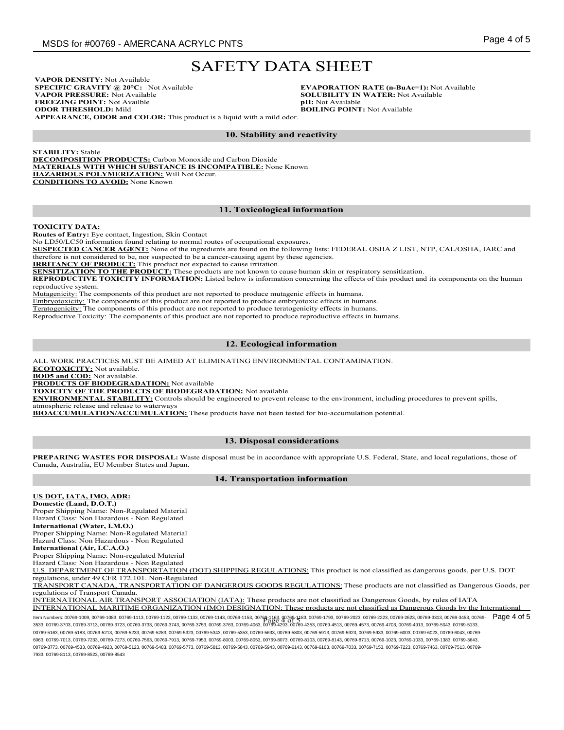**VAPOR DENSITY:** Not Available **SPECIFIC GRAVITY @ 20°C:** Not Available **VAPOR PRESSURE:** Not Available **FREEZING POINT:** Not Availble **ODOR THRESHOLD:** Mild

**EVAPORATION RATE (n-BuAc=1):** Not Available **SOLUBILITY IN WATER:** Not Available **pH:** Not Available **BOILING POINT:** Not Available

**APPEARANCE, ODOR and COLOR:** This product is a liquid with a mild odor.

### **10. Stability and reactivity**

**STABILITY:** Stable **DECOMPOSITION PRODUCTS:** Carbon Monoxide and Carbon Dioxide **MATERIALS WITH WHICH SUBSTANCE IS INCOMPATIBLE:** None Known **HAZARDOUS POLYMERIZATION:** Will Not Occur. **CONDITIONS TO AVOID:** None Known

### **11. Toxicological information**

#### **TOXICITY DATA:**

**Routes of Entry:** Eye contact, Ingestion, Skin Contact

No LD50/LC50 information found relating to normal routes of occupational exposures.

**SUSPECTED CANCER AGENT:** None of the ingredients are found on the following lists: FEDERAL OSHA Z LIST, NTP, CAL/OSHA, IARC and therefore is not considered to be, nor suspected to be a cancer-causing agent by these agencies.

**IRRITANCY OF PRODUCT:** This product not expected to cause irritation.

**SENSITIZATION TO THE PRODUCT:** These products are not known to cause human skin or respiratory sensitization.

**REPRODUCTIVE TOXICITY INFORMATION:** Listed below is information concerning the effects of this product and its components on the human reproductive system.

Mutagenicity: The components of this product are not reported to produce mutagenic effects in humans.

Embryotoxicity: The components of this product are not reported to produce embryotoxic effects in humans.

Teratogenicity: The components of this product are not reported to produce teratogenicity effects in humans.

Reproductive Toxicity: The components of this product are not reported to produce reproductive effects in humans.

### **12. Ecological information**

ALL WORK PRACTICES MUST BE AIMED AT ELIMINATING ENVIRONMENTAL CONTAMINATION.

**ECOTOXICITY:** Not available.

**BOD5 and COD:** Not available.

**PRODUCTS OF BIODEGRADATION:** Not available

**TOXICITY OF THE PRODUCTS OF BIODEGRADATION:** Not available

**ENVIRONMENTAL STABILITY:** Controls should be engineered to prevent release to the environment, including procedures to prevent spills, atmospheric release and release to waterways

**BIOACCUMULATION/ACCUMULATION:** These products have not been tested for bio-accumulation potential.

#### **13. Disposal considerations**

**PREPARING WASTES FOR DISPOSAL:** Waste disposal must be in accordance with appropriate U.S. Federal, State, and local regulations, those of Canada, Australia, EU Member States and Japan.

#### **14. Transportation information**

### **US DOT, IATA, IMO, ADR:**

**Domestic (Land, D.O.T.)** Proper Shipping Name: Non-Regulated Material Hazard Class: Non Hazardous - Non Regulated **International (Water, I.M.O.)** Proper Shipping Name: Non-Regulated Material

Hazard Class: Non Hazardous - Non Regulated **International (Air, I.C.A.O.)**

Proper Shipping Name: Non-regulated Material Hazard Class: Non Hazardous - Non Regulated

U.S. DEPARTMENT OF TRANSPORTATION (DOT) SHIPPING REGULATIONS: This product is not classified as dangerous goods, per U.S. DOT

regulations, under 49 CFR 172.101. Non-Regulated

TRANSPORT CANADA, TRANSPORTATION OF DANGEROUS GOODS REGULATIONS:These products are not classified as Dangerous Goods, per regulations of Transport Canada.

INTERNATIONAL AIR TRANSPORT ASSOCIATION (IATA): These products are not classified as Dangerous Goods, by rules of IATA INTERNATIONAL MARITIME ORGANIZATION (IMO) DESIGNATION: These products are not classified as Dangerous Goods by the International

Item Numbers: 00769-1009, 00769-1103, 00769-1123, 00769-1133, 00769-1143, 00769-1143, 00769-1153, 00769-2023, 00769-2023, 00769-2223, 00769-2223, 00769-2223, 00769-2223, 00769-2723, 00769-223, 00769-3453, 00769-3453, 0076 ltem Numbers: 00769-1003, 00769-113, 00769-1123, 00769-1133, 00769-1143, 00769-1153, 00769-4163, 00769-1763, 00769-1793, 00769-2023, 00769-2223, 00769-2623, 00769-3313, 00769-3453, 00769-<br>3533, 00769-3703, 00769-3712, 0076 00769-5163, 00769-5183, 00769-5213, 00769-5233, 00769-5283, 00769-5323, 00769-5343, 00769-5353, 00769-5633, 00769-5803, 00769-5913, 00769-5923, 00769-5933, 00769-6003, 00769-6023, 00769-6043, 00769- 6063, 00769-7013, 00769-7233, 00769-7273, 00769-7563, 00769-7913, 00769-7953, 00769-8003, 00769-8053, 00769-8073, 00769-8103, 00769-8143, 00769-8713, 00769-1023, 00769-1033, 00769-1383, 00769-3643, 00769-3773, 00769-4533, 00769-4923, 00769-5123, 00769-5483, 00769-5773, 00769-5813, 00769-5843, 00769-5943, 00769-6143, 00769-6163, 00769-7033, 00769-7153, 00769-7153, 00769-7223, 00769-7463, 00769-7513, 00769-7463, 00769-7 7933, 00769-8113, 00769-8523, 00769-8543